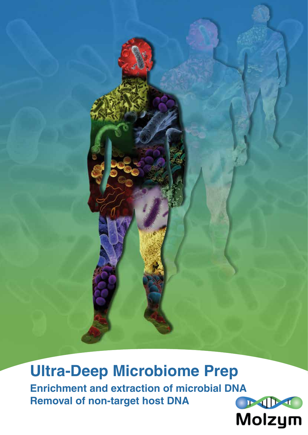

**Ultra-Deep Microbiome Prep Enrichment and extraction of microbial DNA Removal of non-target host DNA**